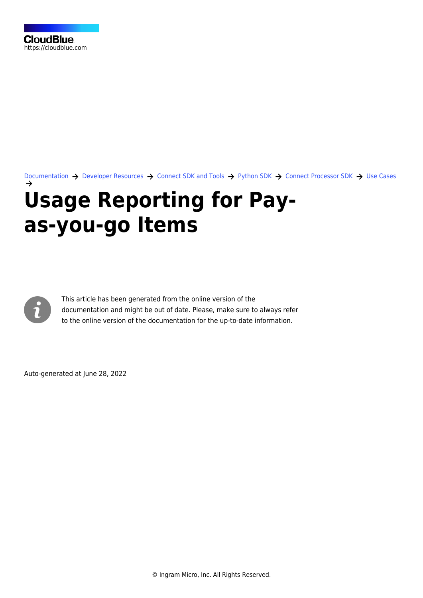[Documentation](https://connect.cloudblue.com/documentation)  $\rightarrow$  [Developer Resources](https://connect.cloudblue.com/community/developers/)  $\rightarrow$  [Connect SDK and Tools](https://connect.cloudblue.com/community/developers/sdk/)  $\rightarrow$  [Python SDK](https://connect.cloudblue.com/community/developers/sdk/python-sdk/)  $\rightarrow$  [Connect Processor SDK](https://connect.cloudblue.com/community/developers/sdk/python-sdk/connect-processor-sdk/)  $\rightarrow$  [Use Cases](https://connect.cloudblue.com/community/developers/sdk/python-sdk/connect-processor-sdk/use-cases/)

# **[Usage Reporting for Pay](https://connect.cloudblue.com/community/developers/sdk/python-sdk/connect-processor-sdk/use-cases/usage-reporting/)[as-you-go Items](https://connect.cloudblue.com/community/developers/sdk/python-sdk/connect-processor-sdk/use-cases/usage-reporting/)**



This article has been generated from the online version of the documentation and might be out of date. Please, make sure to always refer to the online version of the documentation for the up-to-date information.

Auto-generated at June 28, 2022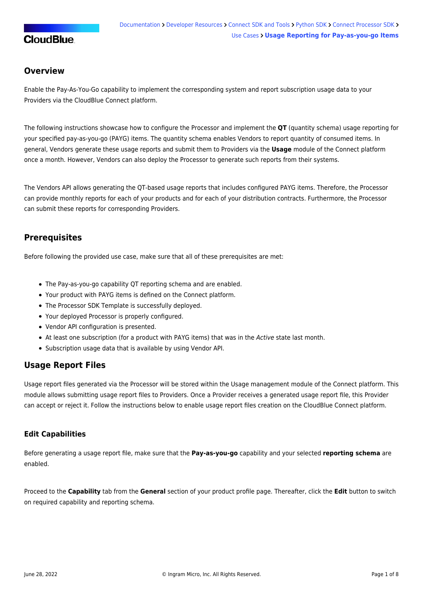#### **Overview**

Enable the Pay-As-You-Go capability to implement the corresponding system and report subscription usage data to your Providers via the CloudBlue Connect platform.

The following instructions showcase how to configure the Processor and implement the **QT** (quantity schema) usage reporting for your specified pay-as-you-go (PAYG) items. The quantity schema enables Vendors to report quantity of consumed items. In general, Vendors generate these usage reports and submit them to Providers via the **Usage** module of the Connect platform once a month. However, Vendors can also deploy the Processor to generate such reports from their systems.

The Vendors API allows generating the QT-based usage reports that includes configured PAYG items. Therefore, the Processor can provide monthly reports for each of your products and for each of your distribution contracts. Furthermore, the Processor can submit these reports for corresponding Providers.

## **Prerequisites**

Before following the provided use case, make sure that all of these prerequisites are met:

- The [Pay-as-you-go](https://connect.cloudblue.com/community/modules/products/capabilities/#Pay-as-you-go) capability [QT reporting schema](https://connect.cloudblue.com/community/modules/products/capabilities/#Reporting_Schemas) and are enabled.
- Your [product](https://connect.cloudblue.com/community/modules/products/) with [PAYG items](https://connect.cloudblue.com/community/modules/products/items/pay-as-you-go-items/) is defined on the Connect platform.
- The [Processor SDK Template](https://connect.cloudblue.com/community/sdk/connect-processor-sdk/processor-template/) is successfully deployed.
- Your deployed Processor is [properly configured.](https://connect.cloudblue.com/community/sdk/connect-processor-sdk/configuration/)
- [Vendor API configuration](https://connect.cloudblue.com/community/sdk/connect-processor-sdk/configuration/#Connection_configuration) is presented.
- At least one subscription (for a product with PAYG items) that was in the Active state last month.
- Subscription usage data that is available by using Vendor API.

#### **Usage Report Files**

Usage report files generated via the Processor will be stored within the Usage management module of the Connect platform. This module allows submitting usage report files to Providers. Once a Provider receives a generated usage report file, this Provider can accept or reject it. Follow the instructions below to enable usage report files creation on the CloudBlue Connect platform.

#### **Edit Capabilities**

Before generating a usage report file, make sure that the **Pay-as-you-go** capability and your selected **reporting schema** are enabled.

Proceed to the **Capability** tab from the **General** section of your product profile page. Thereafter, click the **Edit** button to switch on required capability and reporting schema.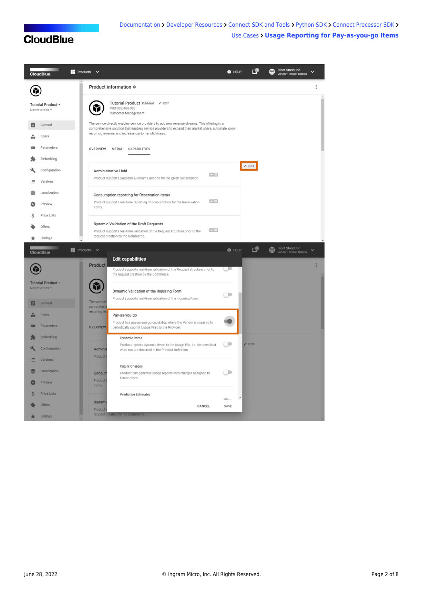$\overline{\phantom{a}}$ 

| <b>CloudBlue</b>                                                                                                                                |                           | $\blacksquare$ Products $\vee$    |                                                                                                                                                                                                                                                             |                | @ HELP |               | <b>Front Street Inc</b><br>Vendor · Robert Balboa |          |
|-------------------------------------------------------------------------------------------------------------------------------------------------|---------------------------|-----------------------------------|-------------------------------------------------------------------------------------------------------------------------------------------------------------------------------------------------------------------------------------------------------------|----------------|--------|---------------|---------------------------------------------------|----------|
|                                                                                                                                                 |                           | Product information @             |                                                                                                                                                                                                                                                             |                |        |               |                                                   | $\vdots$ |
| Master version $\sim$                                                                                                                           | Tutorial Product -        |                                   | Tutorial Product Published / EDIT<br>PRD-382-460-388<br>Customer Management                                                                                                                                                                                 |                |        |               |                                                   |          |
| ⊟<br>÷                                                                                                                                          | General<br>Items          |                                   | The service directly enables service providers to add new revenue streams. This offering is a<br>comprehensive solution that enables service providers to expand their market share, automate, grow<br>recurring revenue, and increase customer stickiness. |                |        |               |                                                   |          |
|                                                                                                                                                 | Parameters                | OVERVIEW<br>MEDIA                 | CAPABILITIES                                                                                                                                                                                                                                                |                |        |               |                                                   |          |
|                                                                                                                                                 | Embedding                 |                                   |                                                                                                                                                                                                                                                             |                |        |               |                                                   |          |
|                                                                                                                                                 | Configuration<br>Versions | Administrative Hold               | Product supports Suspend & Resume actions for the given Subscription.                                                                                                                                                                                       | $\bullet$ off  |        | $\angle$ EDIT |                                                   |          |
| 這                                                                                                                                               |                           |                                   |                                                                                                                                                                                                                                                             |                |        |               |                                                   |          |
| ∰                                                                                                                                               | Localization<br>Preview   |                                   | Consumption reporting for Reservation Items<br>Product supports real-time reporting of consumption for the Reservation                                                                                                                                      | $\bullet$ Off  |        |               |                                                   |          |
|                                                                                                                                                 |                           | items.                            |                                                                                                                                                                                                                                                             |                |        |               |                                                   |          |
| Ś                                                                                                                                               | <b>Price Lists</b>        |                                   |                                                                                                                                                                                                                                                             |                |        |               |                                                   |          |
|                                                                                                                                                 | Offers                    |                                   | Dynamic Validation of the Draft Requests<br>Product supports real-time validation of the Request structure prior to the                                                                                                                                     | $\bullet$ Off  |        |               |                                                   |          |
|                                                                                                                                                 | Listings                  | request creation by the Commerce. |                                                                                                                                                                                                                                                             |                |        |               |                                                   |          |
| Front Street Inc<br>c۶<br><b>詮</b> Products<br>$\checkmark$<br><b>@</b> HELP<br>∰<br>$\checkmark$<br><b>CloudBlue</b><br>Vendor · Robert Balboa |                           |                                   |                                                                                                                                                                                                                                                             |                |        |               |                                                   |          |
|                                                                                                                                                 |                           | Product                           | <b>Edit capabilities</b><br>Product supports real-time validation of the Request structure prior to<br>the request creation by the Commerce.                                                                                                                | л              |        |               |                                                   | i        |
| Master version -                                                                                                                                | Tutorial Product -        |                                   | Dynamic Validation of the Inquiring Form<br>Product supports real-time validation of the Inquiring Form.                                                                                                                                                    | ≖              |        |               |                                                   |          |
|                                                                                                                                                 | General                   | The service<br>comprehens         |                                                                                                                                                                                                                                                             |                |        |               |                                                   |          |
| ÷                                                                                                                                               | <b>Items</b>              | recurring rev                     | Pay-as-you-go                                                                                                                                                                                                                                               |                |        |               |                                                   |          |
|                                                                                                                                                 | Parameters                | <b>OVERVIEW</b>                   | Product has pay-as-you-go capability, where the Vendor is required to<br>periodically submit Usage Files to the Provider.                                                                                                                                   |                |        |               |                                                   |          |
|                                                                                                                                                 | <b>Embedding</b>          |                                   | Dynamic Items                                                                                                                                                                                                                                               |                |        |               |                                                   |          |
|                                                                                                                                                 | Configuration             | <b>Admini</b>                     | Product reports dynamic items in the Usage File, i.e. the ones that<br>were not pre-declared in the Product Definition                                                                                                                                      | $\Box$         |        | $/$ EDIT      |                                                   |          |
| 這                                                                                                                                               | Versions                  | Product                           |                                                                                                                                                                                                                                                             |                |        |               |                                                   |          |
| ⊕                                                                                                                                               | Localization              | Consun                            | Future Charges<br>Product can generate usage reports with charges assigned to<br>future dates.                                                                                                                                                              | $\blacksquare$ |        |               |                                                   |          |
|                                                                                                                                                 | <b>Preview</b>            | Product<br>items.                 |                                                                                                                                                                                                                                                             |                |        |               |                                                   |          |
| Š                                                                                                                                               | <b>Price Lists</b>        |                                   | <b>Predictive Estimates</b>                                                                                                                                                                                                                                 |                |        |               |                                                   |          |
|                                                                                                                                                 | <b>Offers</b>             | Dynami<br>Product                 | CANCEL                                                                                                                                                                                                                                                      | SAVE           |        |               |                                                   |          |
|                                                                                                                                                 | Listings                  | request creation by the Commerce. |                                                                                                                                                                                                                                                             |                |        |               |                                                   |          |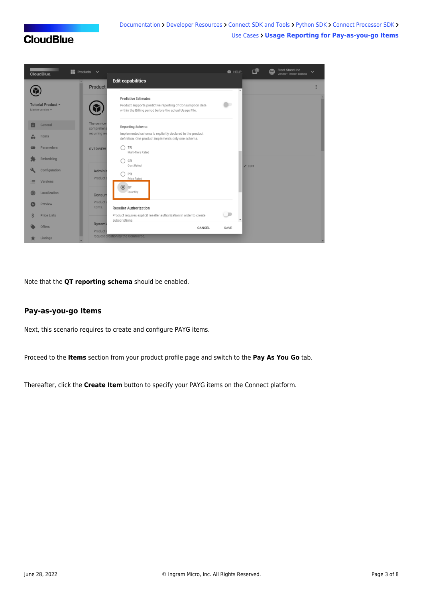

Note that the **QT reporting schema** should be enabled.

#### **Pay-as-you-go Items**

Next, this scenario requires to create and configure PAYG items.

Proceed to the **Items** section from your product profile page and switch to the **Pay As You Go** tab.

Thereafter, click the **Create Item** button to specify your PAYG items on the Connect platform.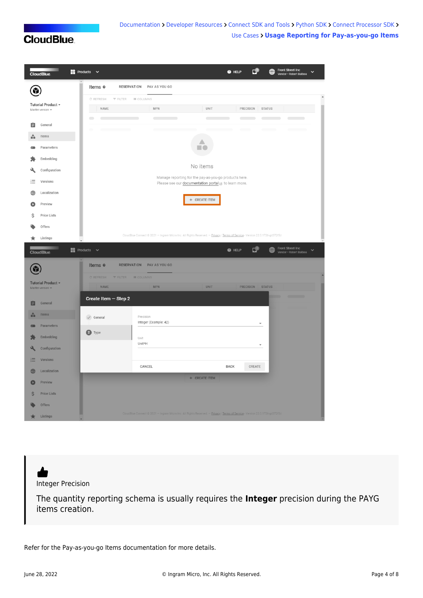

۰ ſ Integer Precision

The quantity reporting schema is usually requires the **Integer** precision during the PAYG items creation.

Refer for the [Pay-as-you-go Items](https://connect.cloudblue.com/community/modules/products/items/pay-as-you-go-items/) documentation for more details.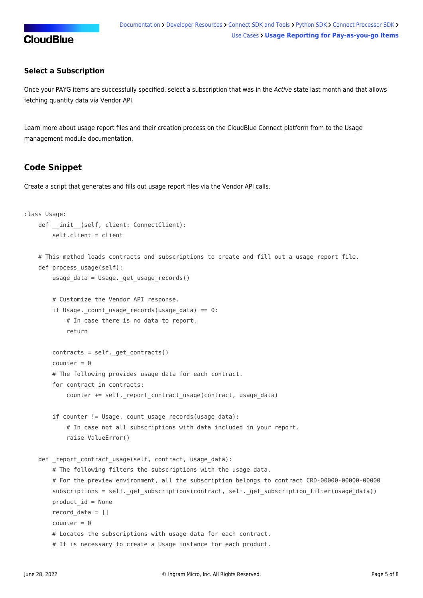#### **Select a Subscription**

Once your PAYG items are successfully specified, select a subscription that was in the Active state last month and that allows fetching quantity data via Vendor API.

Learn more about usage report files and their creation process on the CloudBlue Connect platform from to the [Usage](https://connect.cloudblue.com/community/modules/usage_module/vendor-portal/) [management module](https://connect.cloudblue.com/community/modules/usage_module/vendor-portal/) documentation.

## **Code Snippet**

Create a script that generates and fills out usage report files via the Vendor API calls.

```
class Usage:
    def __ init (self, client: ConnectClient):
         self.client = client
     # This method loads contracts and subscriptions to create and fill out a usage report file.
    def process usage(self):
         usage_data = Usage._get_usage_records()
         # Customize the Vendor API response.
        if Usage. count usage records(usage data) == 0: # In case there is no data to report.
             return
        contrast = self. get contracts()counter = <math>0</math> # The following provides usage data for each contract.
         for contract in contracts:
            counter += self. report contract usage(contract, usage data)
        if counter != Usage, count usage records(usage data):
             # In case not all subscriptions with data included in your report.
             raise ValueError()
     def _report_contract_usage(self, contract, usage_data):
         # The following filters the subscriptions with the usage data.
         # For the preview environment, all the subscription belongs to contract CRD-00000-00000-00000
        subscriptions = self._get_subscriptions(contract, self._get_subscription_filter(usage_data))
        product id = Nonerecord data = []counter = <math>0</math> # Locates the subscriptions with usage data for each contract.
        # It is necessary to create a Usage instance for each product.
```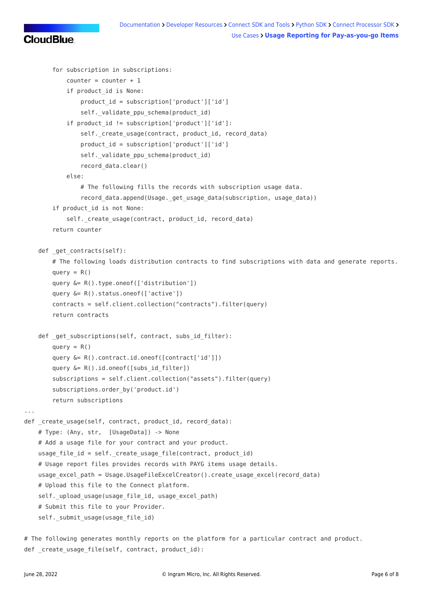```
 for subscription in subscriptions:
            counter = counter + 1 if product_id is None:
                 product_id = subscription['product']['id']
                self. validate ppu schema(product id)
             if product_id != subscription['product']['id']:
                self. create usage(contract, product id, record data)
                 product_id = subscription['product']['id']
                self. validate ppu schema(product id)
                 record_data.clear()
             else:
                 # The following fills the records with subscription usage data.
                 record_data.append(Usage._get_usage_data(subscription, usage_data))
         if product_id is not None:
            self. create usage(contract, product id, record data)
         return counter
    def get contracts(self):
         # The following loads distribution contracts to find subscriptions with data and generate reports.
        query = R() query &= R().type.oneof(['distribution'])
         query &= R().status.oneof(['active'])
         contracts = self.client.collection("contracts").filter(query)
         return contracts
    def get subscriptions(self, contract, subs id filter):
        query = R() query &= R().contract.id.oneof([contract['id']])
         query &= R().id.oneof([subs_id_filter])
         subscriptions = self.client.collection("assets").filter(query)
        subscriptions.order by('product.id')
         return subscriptions
def _create_usage(self, contract, product_id, record_data):
     # Type: (Any, str, [UsageData]) -> None
     # Add a usage file for your contract and your product.
     usage_file_id = self._create_usage_file(contract, product_id)
     # Usage report files provides records with PAYG items usage details.
    usage excel path = Usage.UsageFileExcelCreator().create usage excel(record data)
     # Upload this file to the Connect platform.
    self. upload usage(usage file id, usage excel path)
     # Submit this file to your Provider.
    self. submit usage(usage file id)
```

```
# The following generates monthly reports on the platform for a particular contract and product.
def _create_usage_file(self, contract, product_id):
```
...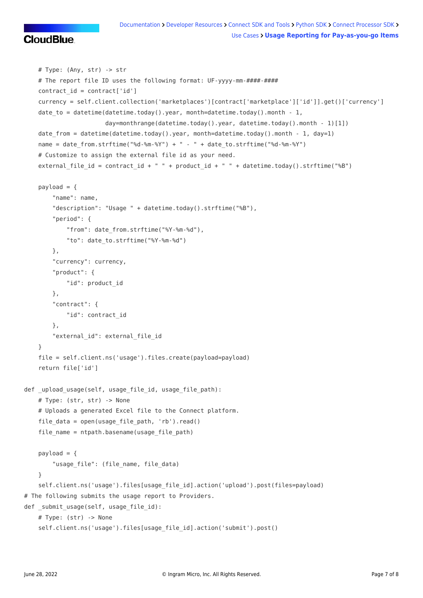#### [Documentation](https://connect.cloudblue.com/documentation) > [Developer Resources](https://connect.cloudblue.com/community/developers/) > [Connect SDK and Tools](https://connect.cloudblue.com/community/developers/sdk/) > [Python SDK](https://connect.cloudblue.com/community/developers/sdk/python-sdk/) > [Connect Processor SDK](https://connect.cloudblue.com/community/developers/sdk/python-sdk/connect-processor-sdk/) > [Use Cases](https://connect.cloudblue.com/community/developers/sdk/python-sdk/connect-processor-sdk/use-cases/) **[Usage Reporting for Pay-as-you-go Items](https://connect.cloudblue.com/community/developers/sdk/python-sdk/connect-processor-sdk/use-cases/usage-reporting/)**

# **CloudBlue**

```
 # Type: (Any, str) -> str
    # The report file ID uses the following format: UF-yyyy-mm-####-####
    contract id = contract['id'] currency = self.client.collection('marketplaces')[contract['marketplace']['id']].get()['currency']
    date to = datetime(datetime.today().year, month=datetime.today().month - 1,
                        day=monthrange(datetime.today().year, datetime.today().month - 1)[1])
    date from = datetime(datetime.today().year, month=datetime.today().month - 1, day=1)
    name = date from.strftime("%d-%m-%Y") + " - " + date to.strftime("%d-%m-%Y")
     # Customize to assign the external file id as your need.
    external file id = contract id + " " + product id + " " + datetime.today().strftime("%B")
    payload = {
         "name": name,
         "description": "Usage " + datetime.today().strftime("%B"),
         "period": {
             "from": date_from.strftime("%Y-%m-%d"),
            "to": date to.strftime("%Y-%m-%d")
         },
         "currency": currency,
         "product": {
             "id": product_id
         },
         "contract": {
             "id": contract_id
         },
         "external_id": external_file_id
     }
     file = self.client.ns('usage').files.create(payload=payload)
     return file['id']
def _upload_usage(self, usage_file_id, usage_file_path):
     # Type: (str, str) -> None
     # Uploads a generated Excel file to the Connect platform.
     file_data = open(usage_file_path, 'rb').read()
    file name = ntpath.basename(usage file path)
    payload = \{"usage file": (file name, file data)
     }
    self.client.ns('usage').files[usage_file_id].action('upload').post(files=payload)
# The following submits the usage report to Providers.
def _submit_usage(self, usage_file_id):
    # Type: (str) -> None
     self.client.ns('usage').files[usage_file_id].action('submit').post()
```